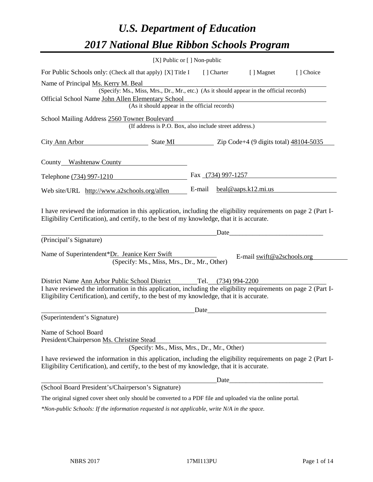# *U.S. Department of Education 2017 National Blue Ribbon Schools Program*

|                                                                                                                                                                                                                                                                                    | [X] Public or [] Non-public |        |                    |                            |            |
|------------------------------------------------------------------------------------------------------------------------------------------------------------------------------------------------------------------------------------------------------------------------------------|-----------------------------|--------|--------------------|----------------------------|------------|
| For Public Schools only: (Check all that apply) [X] Title I [] Charter                                                                                                                                                                                                             |                             |        |                    | [ ] Magnet                 | [ ] Choice |
| Name of Principal Ms. Kerry M. Beal<br>(Specify: Ms., Miss, Mrs., Dr., Mr., etc.) (As it should appear in the official records)<br>Official School Name John Allen Elementary School<br>(As it should appear in the official records)                                              |                             |        |                    |                            |            |
| School Mailing Address 2560 Towner Boulevard<br>(If address is P.O. Box, also include street address.)                                                                                                                                                                             |                             |        |                    |                            |            |
| State MI Zip Code+4 (9 digits total) 48104-5035<br>City Ann Arbor                                                                                                                                                                                                                  |                             |        |                    |                            |            |
| County Washtenaw County                                                                                                                                                                                                                                                            |                             |        |                    |                            |            |
| Telephone (734) 997-1210                                                                                                                                                                                                                                                           |                             |        | Fax (734) 997-1257 |                            |            |
| Web site/URL http://www.a2schools.org/allen                                                                                                                                                                                                                                        |                             | E-mail |                    | $beal@aaps.k12.mi.us$      |            |
| I have reviewed the information in this application, including the eligibility requirements on page 2 (Part I-<br>Eligibility Certification), and certify, to the best of my knowledge, that it is accurate.<br>(Principal's Signature)                                            |                             |        | Date               |                            |            |
| Name of Superintendent*Dr. Jeanice Kerr Swift<br>(Specify: Ms., Miss, Mrs., Dr., Mr., Other)                                                                                                                                                                                       |                             |        |                    | E-mail swift@a2schools.org |            |
| District Name Ann Arbor Public School District Tel. (734) 994-2200<br>I have reviewed the information in this application, including the eligibility requirements on page 2 (Part I-<br>Eligibility Certification), and certify, to the best of my knowledge, that it is accurate. |                             |        |                    |                            |            |
|                                                                                                                                                                                                                                                                                    |                             | Date   |                    |                            |            |
| (Superintendent's Signature)                                                                                                                                                                                                                                                       |                             |        |                    |                            |            |
| Name of School Board<br>President/Chairperson Ms. Christine Stead<br>(Specify: Ms., Miss, Mrs., Dr., Mr., Other)                                                                                                                                                                   |                             |        |                    |                            |            |
| I have reviewed the information in this application, including the eligibility requirements on page 2 (Part I-<br>Eligibility Certification), and certify, to the best of my knowledge, that it is accurate.                                                                       |                             |        |                    |                            |            |
|                                                                                                                                                                                                                                                                                    |                             |        |                    |                            |            |
| (School Board President's/Chairperson's Signature)                                                                                                                                                                                                                                 |                             |        |                    |                            |            |
| The original signed cover sheet only should be converted to a PDF file and uploaded via the online portal.                                                                                                                                                                         |                             |        |                    |                            |            |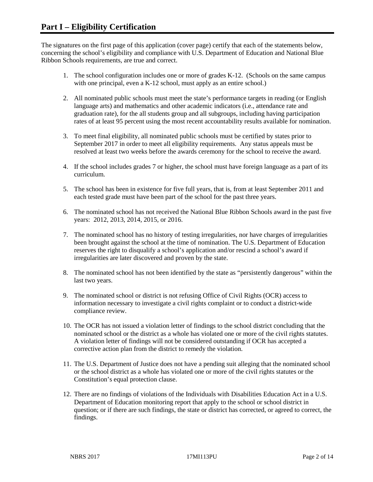The signatures on the first page of this application (cover page) certify that each of the statements below, concerning the school's eligibility and compliance with U.S. Department of Education and National Blue Ribbon Schools requirements, are true and correct.

- 1. The school configuration includes one or more of grades K-12. (Schools on the same campus with one principal, even a K-12 school, must apply as an entire school.)
- 2. All nominated public schools must meet the state's performance targets in reading (or English language arts) and mathematics and other academic indicators (i.e., attendance rate and graduation rate), for the all students group and all subgroups, including having participation rates of at least 95 percent using the most recent accountability results available for nomination.
- 3. To meet final eligibility, all nominated public schools must be certified by states prior to September 2017 in order to meet all eligibility requirements. Any status appeals must be resolved at least two weeks before the awards ceremony for the school to receive the award.
- 4. If the school includes grades 7 or higher, the school must have foreign language as a part of its curriculum.
- 5. The school has been in existence for five full years, that is, from at least September 2011 and each tested grade must have been part of the school for the past three years.
- 6. The nominated school has not received the National Blue Ribbon Schools award in the past five years: 2012, 2013, 2014, 2015, or 2016.
- 7. The nominated school has no history of testing irregularities, nor have charges of irregularities been brought against the school at the time of nomination. The U.S. Department of Education reserves the right to disqualify a school's application and/or rescind a school's award if irregularities are later discovered and proven by the state.
- 8. The nominated school has not been identified by the state as "persistently dangerous" within the last two years.
- 9. The nominated school or district is not refusing Office of Civil Rights (OCR) access to information necessary to investigate a civil rights complaint or to conduct a district-wide compliance review.
- 10. The OCR has not issued a violation letter of findings to the school district concluding that the nominated school or the district as a whole has violated one or more of the civil rights statutes. A violation letter of findings will not be considered outstanding if OCR has accepted a corrective action plan from the district to remedy the violation.
- 11. The U.S. Department of Justice does not have a pending suit alleging that the nominated school or the school district as a whole has violated one or more of the civil rights statutes or the Constitution's equal protection clause.
- 12. There are no findings of violations of the Individuals with Disabilities Education Act in a U.S. Department of Education monitoring report that apply to the school or school district in question; or if there are such findings, the state or district has corrected, or agreed to correct, the findings.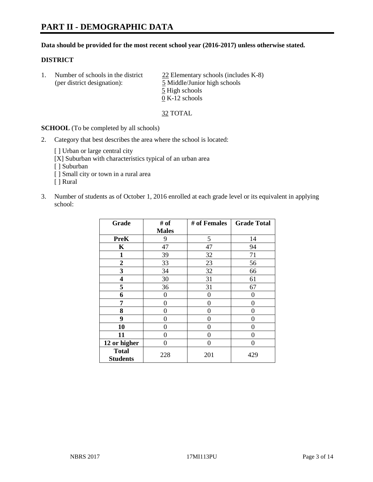#### **Data should be provided for the most recent school year (2016-2017) unless otherwise stated.**

## **DISTRICT**

1. Number of schools in the district  $\frac{22}{2}$  Elementary schools (includes K-8) (per district designation): 5 Middle/Junior high schools 5 High schools 0 K-12 schools

32 TOTAL

**SCHOOL** (To be completed by all schools)

2. Category that best describes the area where the school is located:

[] Urban or large central city [X] Suburban with characteristics typical of an urban area

[ ] Suburban

- [ ] Small city or town in a rural area
- [ ] Rural
- 3. Number of students as of October 1, 2016 enrolled at each grade level or its equivalent in applying school:

| Grade                           | # of         | # of Females | <b>Grade Total</b> |
|---------------------------------|--------------|--------------|--------------------|
|                                 | <b>Males</b> |              |                    |
| <b>PreK</b>                     | 9            | 5            | 14                 |
| $\mathbf K$                     | 47           | 47           | 94                 |
| 1                               | 39           | 32           | 71                 |
| $\boldsymbol{2}$                | 33           | 23           | 56                 |
| 3                               | 34           | 32           | 66                 |
| 4                               | 30           | 31           | 61                 |
| 5                               | 36           | 31           | 67                 |
| 6                               | 0            | 0            | 0                  |
| 7                               | 0            | 0            | 0                  |
| 8                               | 0            | 0            | 0                  |
| 9                               | 0            | 0            | 0                  |
| 10                              | 0            | 0            | 0                  |
| 11                              | 0            | 0            | $\mathbf{\Omega}$  |
| 12 or higher                    | 0            | 0            | 0                  |
| <b>Total</b><br><b>Students</b> | 228          | 201          | 429                |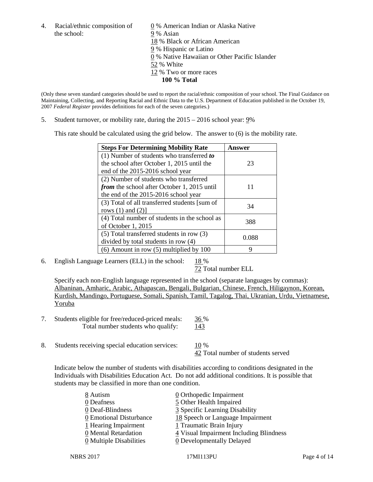the school: 9 % Asian

4. Racial/ethnic composition of  $\qquad \qquad \underline{0}$  % American Indian or Alaska Native 18 % Black or African American 9 % Hispanic or Latino 0 % Native Hawaiian or Other Pacific Islander 52 % White 12 % Two or more races **100 % Total**

(Only these seven standard categories should be used to report the racial/ethnic composition of your school. The Final Guidance on Maintaining, Collecting, and Reporting Racial and Ethnic Data to the U.S. Department of Education published in the October 19, 2007 *Federal Register* provides definitions for each of the seven categories.)

5. Student turnover, or mobility rate, during the 2015 – 2016 school year: 9%

This rate should be calculated using the grid below. The answer to (6) is the mobility rate.

| <b>Steps For Determining Mobility Rate</b>         | Answer |  |
|----------------------------------------------------|--------|--|
| (1) Number of students who transferred to          |        |  |
| the school after October 1, 2015 until the         | 23     |  |
| end of the 2015-2016 school year                   |        |  |
| (2) Number of students who transferred             |        |  |
| <i>from</i> the school after October 1, 2015 until | 11     |  |
| the end of the 2015-2016 school year               |        |  |
| (3) Total of all transferred students [sum of      | 34     |  |
| rows $(1)$ and $(2)$ ]                             |        |  |
| (4) Total number of students in the school as      | 388    |  |
| of October 1, 2015                                 |        |  |
| $(5)$ Total transferred students in row $(3)$      | 0.088  |  |
| divided by total students in row (4)               |        |  |
| $(6)$ Amount in row $(5)$ multiplied by 100        | q      |  |

6. English Language Learners (ELL) in the school:  $18\%$ 

72 Total number ELL

Specify each non-English language represented in the school (separate languages by commas): Albaninan, Amharic, Arabic, Athapascan, Bengali, Bulgarian, Chinese, French, Hiligaynon, Korean, Kurdish, Mandingo, Portuguese, Somali, Spanish, Tamil, Tagalog, Thai, Ukranian, Urdu, Vietnamese, Yoruba

- 7. Students eligible for free/reduced-priced meals: 36 % Total number students who qualify: 143
- 8. Students receiving special education services: 10 %

42 Total number of students served

Indicate below the number of students with disabilities according to conditions designated in the Individuals with Disabilities Education Act. Do not add additional conditions. It is possible that students may be classified in more than one condition.

| 8 Autism                | $\underline{0}$ Orthopedic Impairment   |
|-------------------------|-----------------------------------------|
| 0 Deafness              | 5 Other Health Impaired                 |
| 0 Deaf-Blindness        | 3 Specific Learning Disability          |
| 0 Emotional Disturbance | 18 Speech or Language Impairment        |
| 1 Hearing Impairment    | 1 Traumatic Brain Injury                |
| 0 Mental Retardation    | 4 Visual Impairment Including Blindness |
| 0 Multiple Disabilities | 0 Developmentally Delayed               |
|                         |                                         |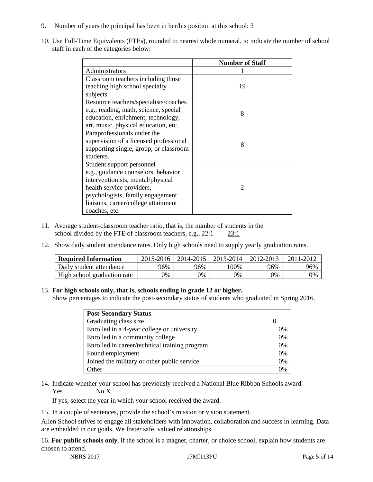- 9. Number of years the principal has been in her/his position at this school: 3
- 10. Use Full-Time Equivalents (FTEs), rounded to nearest whole numeral, to indicate the number of school staff in each of the categories below:

|                                        | <b>Number of Staff</b> |
|----------------------------------------|------------------------|
| Administrators                         |                        |
| Classroom teachers including those     |                        |
| teaching high school specialty         | 19                     |
| subjects                               |                        |
| Resource teachers/specialists/coaches  |                        |
| e.g., reading, math, science, special  | 8                      |
| education, enrichment, technology,     |                        |
| art, music, physical education, etc.   |                        |
| Paraprofessionals under the            |                        |
| supervision of a licensed professional | 8                      |
| supporting single, group, or classroom |                        |
| students.                              |                        |
| Student support personnel              |                        |
| e.g., guidance counselors, behavior    |                        |
| interventionists, mental/physical      |                        |
| health service providers,              | $\mathfrak{D}$         |
| psychologists, family engagement       |                        |
| liaisons, career/college attainment    |                        |
| coaches, etc.                          |                        |

- 11. Average student-classroom teacher ratio, that is, the number of students in the school divided by the FTE of classroom teachers, e.g., 22:1 23:1
- 12. Show daily student attendance rates. Only high schools need to supply yearly graduation rates.

| <b>Required Information</b> | 2015-2016 | 2014-2015 | 2013-2014 | 2012-2013 |     |
|-----------------------------|-----------|-----------|-----------|-----------|-----|
| Daily student attendance    | 96%       | 96%       | 00%       | 96%       | 96% |
| High school graduation rate | 0%        | 0%        | 0%        | 9%        | 0%  |

#### 13. **For high schools only, that is, schools ending in grade 12 or higher.**

Show percentages to indicate the post-secondary status of students who graduated in Spring 2016.

| <b>Post-Secondary Status</b>                  |    |
|-----------------------------------------------|----|
| Graduating class size                         |    |
| Enrolled in a 4-year college or university    | 0% |
| Enrolled in a community college               | 0% |
| Enrolled in career/technical training program | 0% |
| Found employment                              | 0% |
| Joined the military or other public service   | 0% |
| )ther                                         |    |

14. Indicate whether your school has previously received a National Blue Ribbon Schools award. Yes No X

If yes, select the year in which your school received the award.

15. In a couple of sentences, provide the school's mission or vision statement.

Allen School strives to engage all stakeholders with innovation, collaboration and success in learning. Data are embedded in our goals. We foster safe, valued relationships.

16. **For public schools only**, if the school is a magnet, charter, or choice school, explain how students are chosen to attend.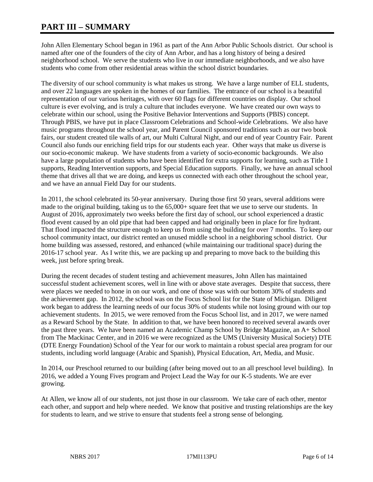# **PART III – SUMMARY**

John Allen Elementary School began in 1961 as part of the Ann Arbor Public Schools district. Our school is named after one of the founders of the city of Ann Arbor, and has a long history of being a desired neighborhood school. We serve the students who live in our immediate neighborhoods, and we also have students who come from other residential areas within the school district boundaries.

The diversity of our school community is what makes us strong. We have a large number of ELL students, and over 22 languages are spoken in the homes of our families. The entrance of our school is a beautiful representation of our various heritages, with over 60 flags for different countries on display. Our school culture is ever evolving, and is truly a culture that includes everyone. We have created our own ways to celebrate within our school, using the Positive Behavior Interventions and Supports (PBIS) concept. Through PBIS, we have put in place Classroom Celebrations and School-wide Celebrations. We also have music programs throughout the school year, and Parent Council sponsored traditions such as our two book fairs, our student created tile walls of art, our Multi Cultural Night, and our end of year Country Fair. Parent Council also funds our enriching field trips for our students each year. Other ways that make us diverse is our socio-economic makeup. We have students from a variety of socio-economic backgrounds. We also have a large population of students who have been identified for extra supports for learning, such as Title 1 supports, Reading Intervention supports, and Special Education supports. Finally, we have an annual school theme that drives all that we are doing, and keeps us connected with each other throughout the school year, and we have an annual Field Day for our students.

In 2011, the school celebrated its 50-year anniversary. During those first 50 years, several additions were made to the original building, taking us to the  $65,000+$  square feet that we use to serve our students. In August of 2016, approximately two weeks before the first day of school, our school experienced a drastic flood event caused by an old pipe that had been capped and had originally been in place for fire hydrant. That flood impacted the structure enough to keep us from using the building for over 7 months. To keep our school community intact, our district rented an unused middle school in a neighboring school district. Our home building was assessed, restored, and enhanced (while maintaining our traditional space) during the 2016-17 school year. As I write this, we are packing up and preparing to move back to the building this week, just before spring break.

During the recent decades of student testing and achievement measures, John Allen has maintained successful student achievement scores, well in line with or above state averages. Despite that success, there were places we needed to hone in on our work, and one of those was with our bottom 30% of students and the achievement gap. In 2012, the school was on the Focus School list for the State of Michigan. Diligent work began to address the learning needs of our focus 30% of students while not losing ground with our top achievement students. In 2015, we were removed from the Focus School list, and in 2017, we were named as a Reward School by the State. In addition to that, we have been honored to received several awards over the past three years. We have been named an Academic Champ School by Bridge Magazine, an A+ School from The Mackinac Center, and in 2016 we were recognized as the UMS (University Musical Society) DTE (DTE Energy Foundation) School of the Year for our work to maintain a robust special area program for our students, including world language (Arabic and Spanish), Physical Education, Art, Media, and Music.

In 2014, our Preschool returned to our building (after being moved out to an all preschool level building). In 2016, we added a Young Fives program and Project Lead the Way for our K-5 students. We are ever growing.

At Allen, we know all of our students, not just those in our classroom. We take care of each other, mentor each other, and support and help where needed. We know that positive and trusting relationships are the key for students to learn, and we strive to ensure that students feel a strong sense of belonging.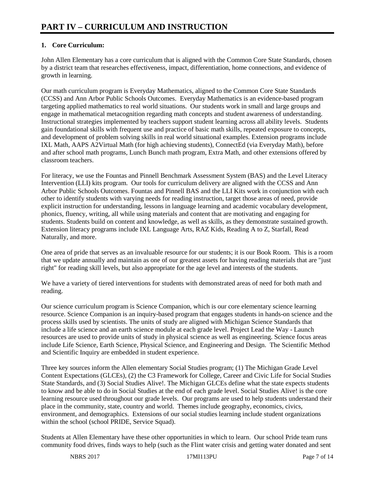# **1. Core Curriculum:**

John Allen Elementary has a core curriculum that is aligned with the Common Core State Standards, chosen by a district team that researches effectiveness, impact, differentiation, home connections, and evidence of growth in learning.

Our math curriculum program is Everyday Mathematics, aligned to the Common Core State Standards (CCSS) and Ann Arbor Public Schools Outcomes. Everyday Mathematics is an evidence-based program targeting applied mathematics to real world situations. Our students work in small and large groups and engage in mathematical metacognition regarding math concepts and student awareness of understanding. Instructional strategies implemented by teachers support student learning across all ability levels. Students gain foundational skills with frequent use and practice of basic math skills, repeated exposure to concepts, and development of problem solving skills in real world situational examples. Extension programs include IXL Math, AAPS A2Virtual Math (for high achieving students), ConnectEd (via Everyday Math), before and after school math programs, Lunch Bunch math program, Extra Math, and other extensions offered by classroom teachers.

For literacy, we use the Fountas and Pinnell Benchmark Assessment System (BAS) and the Level Literacy Intervention (LLI) kits program. Our tools for curriculum delivery are aligned with the CCSS and Ann Arbor Public Schools Outcomes. Fountas and Pinnell BAS and the LLI Kits work in conjunction with each other to identify students with varying needs for reading instruction, target those areas of need, provide explicit instruction for understanding, lessons in language learning and academic vocabulary development, phonics, fluency, writing, all while using materials and content that are motivating and engaging for students. Students build on content and knowledge, as well as skills, as they demonstrate sustained growth. Extension literacy programs include IXL Language Arts, RAZ Kids, Reading A to Z, Starfall, Read Naturally, and more.

One area of pride that serves as an invaluable resource for our students; it is our Book Room. This is a room that we update annually and maintain as one of our greatest assets for having reading materials that are "just right" for reading skill levels, but also appropriate for the age level and interests of the students.

We have a variety of tiered interventions for students with demonstrated areas of need for both math and reading.

Our science curriculum program is Science Companion, which is our core elementary science learning resource. Science Companion is an inquiry-based program that engages students in hands-on science and the process skills used by scientists. The units of study are aligned with Michigan Science Standards that include a life science and an earth science module at each grade level. Project Lead the Way - Launch resources are used to provide units of study in physical science as well as engineering. Science focus areas include Life Science, Earth Science, Physical Science, and Engineering and Design. The Scientific Method and Scientific Inquiry are embedded in student experience.

Three key sources inform the Allen elementary Social Studies program; (1) The Michigan Grade Level Content Expectations (GLCEs), (2) the C3 Framework for College, Career and Civic Life for Social Studies State Standards, and (3) Social Studies Alive!. The Michigan GLCEs define what the state expects students to know and be able to do in Social Studies at the end of each grade level. Social Studies Alive! is the core learning resource used throughout our grade levels. Our programs are used to help students understand their place in the community, state, country and world. Themes include geography, economics, civics, environment, and demographics. Extensions of our social studies learning include student organizations within the school (school PRIDE, Service Squad).

Students at Allen Elementary have these other opportunities in which to learn. Our school Pride team runs community food drives, finds ways to help (such as the Flint water crisis and getting water donated and sent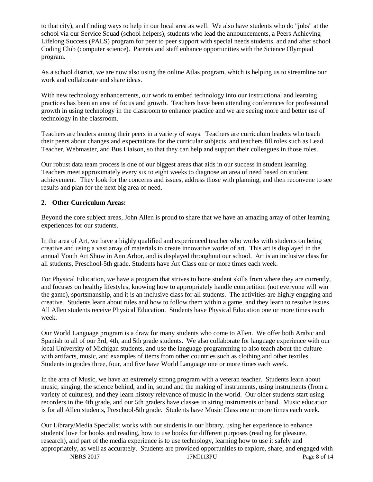to that city), and finding ways to help in our local area as well. We also have students who do "jobs" at the school via our Service Squad (school helpers), students who lead the announcements, a Peers Achieving Lifelong Success (PALS) program for peer to peer support with special needs students, and and after school Coding Club (computer science). Parents and staff enhance opportunities with the Science Olympiad program.

As a school district, we are now also using the online Atlas program, which is helping us to streamline our work and collaborate and share ideas.

With new technology enhancements, our work to embed technology into our instructional and learning practices has been an area of focus and growth. Teachers have been attending conferences for professional growth in using technology in the classroom to enhance practice and we are seeing more and better use of technology in the classroom.

Teachers are leaders among their peers in a variety of ways. Teachers are curriculum leaders who teach their peers about changes and expectations for the curricular subjects, and teachers fill roles such as Lead Teacher, Webmaster, and Bus Liaison, so that they can help and support their colleagues in those roles.

Our robust data team process is one of our biggest areas that aids in our success in student learning. Teachers meet approximately every six to eight weeks to diagnose an area of need based on student achievement. They look for the concerns and issues, address those with planning, and then reconvene to see results and plan for the next big area of need.

## **2. Other Curriculum Areas:**

Beyond the core subject areas, John Allen is proud to share that we have an amazing array of other learning experiences for our students.

In the area of Art, we have a highly qualified and experienced teacher who works with students on being creative and using a vast array of materials to create innovative works of art. This art is displayed in the annual Youth Art Show in Ann Arbor, and is displayed throughout our school. Art is an inclusive class for all students, Preschool-5th grade. Students have Art Class one or more times each week.

For Physical Education, we have a program that strives to hone student skills from where they are currently, and focuses on healthy lifestyles, knowing how to appropriately handle competition (not everyone will win the game), sportsmanship, and it is an inclusive class for all students. The activities are highly engaging and creative. Students learn about rules and how to follow them within a game, and they learn to resolve issues. All Allen students receive Physical Education. Students have Physical Education one or more times each week.

Our World Language program is a draw for many students who come to Allen. We offer both Arabic and Spanish to all of our 3rd, 4th, and 5th grade students. We also collaborate for language experience with our local University of Michigan students, and use the language programming to also teach about the culture with artifacts, music, and examples of items from other countries such as clothing and other textiles. Students in grades three, four, and five have World Language one or more times each week.

In the area of Music, we have an extremely strong program with a veteran teacher. Students learn about music, singing, the science behind, and in, sound and the making of instruments, using instruments (from a variety of cultures), and they learn history relevance of music in the world. Our older students start using recorders in the 4th grade, and our 5th graders have classes in string instruments or band. Music education is for all Allen students, Preschool-5th grade. Students have Music Class one or more times each week.

Our Library/Media Specialist works with our students in our library, using her experience to enhance students' love for books and reading, how to use books for different purposes (reading for pleasure, research), and part of the media experience is to use technology, learning how to use it safely and appropriately, as well as accurately. Students are provided opportunities to explore, share, and engaged with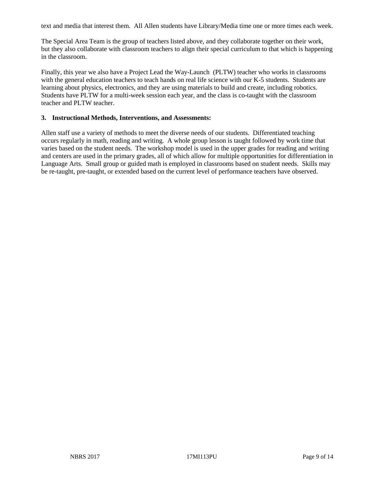text and media that interest them. All Allen students have Library/Media time one or more times each week.

The Special Area Team is the group of teachers listed above, and they collaborate together on their work, but they also collaborate with classroom teachers to align their special curriculum to that which is happening in the classroom.

Finally, this year we also have a Project Lead the Way-Launch (PLTW) teacher who works in classrooms with the general education teachers to teach hands on real life science with our K-5 students. Students are learning about physics, electronics, and they are using materials to build and create, including robotics. Students have PLTW for a multi-week session each year, and the class is co-taught with the classroom teacher and PLTW teacher.

#### **3. Instructional Methods, Interventions, and Assessments:**

Allen staff use a variety of methods to meet the diverse needs of our students. Differentiated teaching occurs regularly in math, reading and writing. A whole group lesson is taught followed by work time that varies based on the student needs. The workshop model is used in the upper grades for reading and writing and centers are used in the primary grades, all of which allow for multiple opportunities for differentiation in Language Arts. Small group or guided math is employed in classrooms based on student needs. Skills may be re-taught, pre-taught, or extended based on the current level of performance teachers have observed.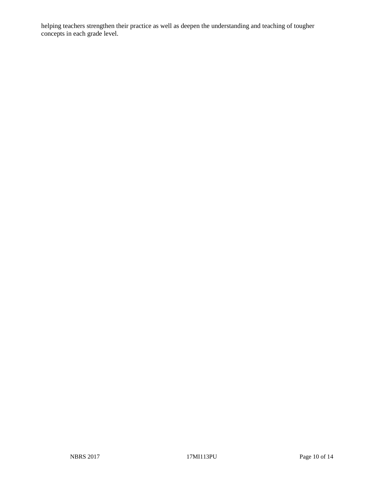helping teachers strengthen their practice as well as deepen the understanding and teaching of tougher concepts in each grade level.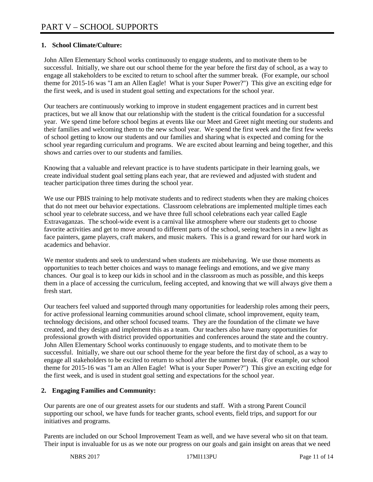# **1. School Climate/Culture:**

John Allen Elementary School works continuously to engage students, and to motivate them to be successful. Initially, we share out our school theme for the year before the first day of school, as a way to engage all stakeholders to be excited to return to school after the summer break. (For example, our school theme for 2015-16 was "I am an Allen Eagle! What is your Super Power?") This give an exciting edge for the first week, and is used in student goal setting and expectations for the school year.

Our teachers are continuously working to improve in student engagement practices and in current best practices, but we all know that our relationship with the student is the critical foundation for a successful year. We spend time before school begins at events like our Meet and Greet night meeting our students and their families and welcoming them to the new school year. We spend the first week and the first few weeks of school getting to know our students and our families and sharing what is expected and coming for the school year regarding curriculum and programs. We are excited about learning and being together, and this shows and carries over to our students and families.

Knowing that a valuable and relevant practice is to have students participate in their learning goals, we create individual student goal setting plans each year, that are reviewed and adjusted with student and teacher participation three times during the school year.

We use our PBIS training to help motivate students and to redirect students when they are making choices that do not meet our behavior expectations. Classroom celebrations are implemented multiple times each school year to celebrate success, and we have three full school celebrations each year called Eagle Extravaganzas. The school-wide event is a carnival like atmosphere where our students get to choose favorite activities and get to move around to different parts of the school, seeing teachers in a new light as face painters, game players, craft makers, and music makers. This is a grand reward for our hard work in academics and behavior.

We mentor students and seek to understand when students are misbehaving. We use those moments as opportunities to teach better choices and ways to manage feelings and emotions, and we give many chances. Our goal is to keep our kids in school and in the classroom as much as possible, and this keeps them in a place of accessing the curriculum, feeling accepted, and knowing that we will always give them a fresh start.

Our teachers feel valued and supported through many opportunities for leadership roles among their peers, for active professional learning communities around school climate, school improvement, equity team, technology decisions, and other school focused teams. They are the foundation of the climate we have created, and they design and implement this as a team. Our teachers also have many opportunities for professional growth with district provided opportunities and conferences around the state and the country. John Allen Elementary School works continuously to engage students, and to motivate them to be successful. Initially, we share out our school theme for the year before the first day of school, as a way to engage all stakeholders to be excited to return to school after the summer break. (For example, our school theme for 2015-16 was "I am an Allen Eagle! What is your Super Power?") This give an exciting edge for the first week, and is used in student goal setting and expectations for the school year.

# **2. Engaging Families and Community:**

Our parents are one of our greatest assets for our students and staff. With a strong Parent Council supporting our school, we have funds for teacher grants, school events, field trips, and support for our initiatives and programs.

Parents are included on our School Improvement Team as well, and we have several who sit on that team. Their input is invaluable for us as we note our progress on our goals and gain insight on areas that we need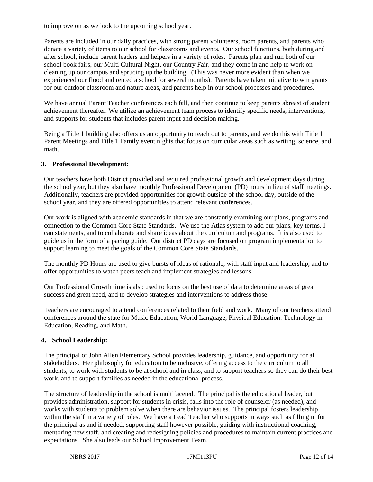to improve on as we look to the upcoming school year.

Parents are included in our daily practices, with strong parent volunteers, room parents, and parents who donate a variety of items to our school for classrooms and events. Our school functions, both during and after school, include parent leaders and helpers in a variety of roles. Parents plan and run both of our school book fairs, our Multi Cultural Night, our Country Fair, and they come in and help to work on cleaning up our campus and sprucing up the building. (This was never more evident than when we experienced our flood and rented a school for several months). Parents have taken initiative to win grants for our outdoor classroom and nature areas, and parents help in our school processes and procedures.

We have annual Parent Teacher conferences each fall, and then continue to keep parents abreast of student achievement thereafter. We utilize an achievement team process to identify specific needs, interventions, and supports for students that includes parent input and decision making.

Being a Title 1 building also offers us an opportunity to reach out to parents, and we do this with Title 1 Parent Meetings and Title 1 Family event nights that focus on curricular areas such as writing, science, and math.

#### **3. Professional Development:**

Our teachers have both District provided and required professional growth and development days during the school year, but they also have monthly Professional Development (PD) hours in lieu of staff meetings. Additionally, teachers are provided opportunities for growth outside of the school day, outside of the school year, and they are offered opportunities to attend relevant conferences.

Our work is aligned with academic standards in that we are constantly examining our plans, programs and connection to the Common Core State Standards. We use the Atlas system to add our plans, key terms, I can statements, and to collaborate and share ideas about the curriculum and programs. It is also used to guide us in the form of a pacing guide. Our district PD days are focused on program implementation to support learning to meet the goals of the Common Core State Standards.

The monthly PD Hours are used to give bursts of ideas of rationale, with staff input and leadership, and to offer opportunities to watch peers teach and implement strategies and lessons.

Our Professional Growth time is also used to focus on the best use of data to determine areas of great success and great need, and to develop strategies and interventions to address those.

Teachers are encouraged to attend conferences related to their field and work. Many of our teachers attend conferences around the state for Music Education, World Language, Physical Education. Technology in Education, Reading, and Math.

#### **4. School Leadership:**

The principal of John Allen Elementary School provides leadership, guidance, and opportunity for all stakeholders. Her philosophy for education to be inclusive, offering access to the curriculum to all students, to work with students to be at school and in class, and to support teachers so they can do their best work, and to support families as needed in the educational process.

The structure of leadership in the school is multifaceted. The principal is the educational leader, but provides administration, support for students in crisis, falls into the role of counselor (as needed), and works with students to problem solve when there are behavior issues. The principal fosters leadership within the staff in a variety of roles. We have a Lead Teacher who supports in ways such as filling in for the principal as and if needed, supporting staff however possible, guiding with instructional coaching, mentoring new staff, and creating and redesigning policies and procedures to maintain current practices and expectations. She also leads our School Improvement Team.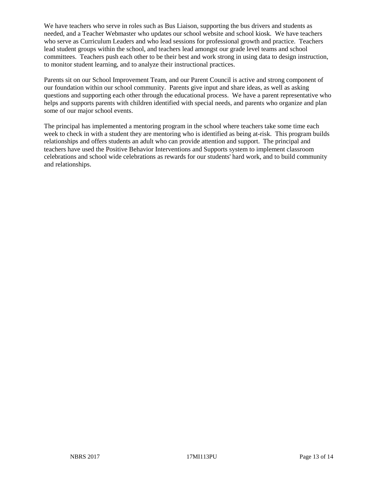We have teachers who serve in roles such as Bus Liaison, supporting the bus drivers and students as needed, and a Teacher Webmaster who updates our school website and school kiosk. We have teachers who serve as Curriculum Leaders and who lead sessions for professional growth and practice. Teachers lead student groups within the school, and teachers lead amongst our grade level teams and school committees. Teachers push each other to be their best and work strong in using data to design instruction, to monitor student learning, and to analyze their instructional practices.

Parents sit on our School Improvement Team, and our Parent Council is active and strong component of our foundation within our school community. Parents give input and share ideas, as well as asking questions and supporting each other through the educational process. We have a parent representative who helps and supports parents with children identified with special needs, and parents who organize and plan some of our major school events.

The principal has implemented a mentoring program in the school where teachers take some time each week to check in with a student they are mentoring who is identified as being at-risk. This program builds relationships and offers students an adult who can provide attention and support. The principal and teachers have used the Positive Behavior Interventions and Supports system to implement classroom celebrations and school wide celebrations as rewards for our students' hard work, and to build community and relationships.